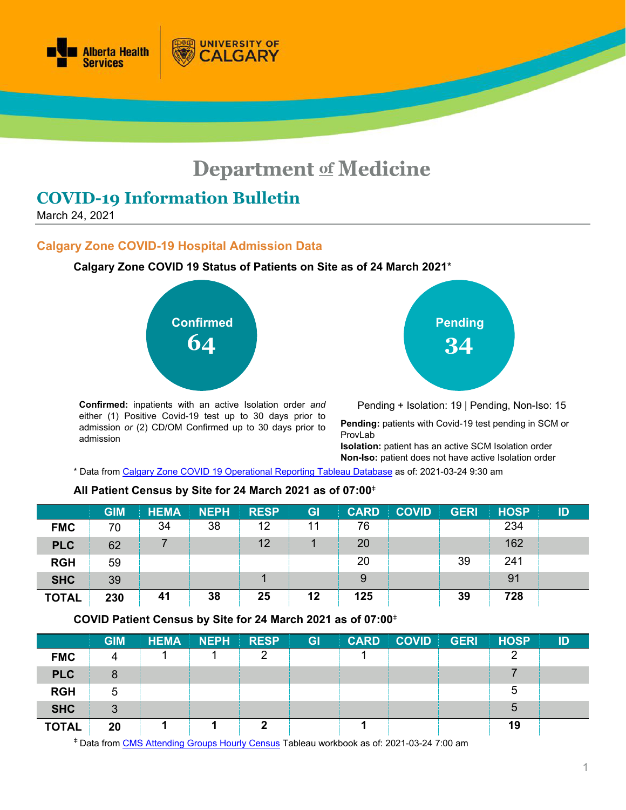

# **Department of Medicine**

## **COVID-19 Information Bulletin**

March 24, 2021

## **Calgary Zone COVID-19 Hospital Admission Data**

**Calgary Zone COVID 19 Status of Patients on Site as of 24 March 2021**\*

**UNIVERSITY OF** 

**ALGARY** 



**Confirmed:** inpatients with an active Isolation order *and* either (1) Positive Covid-19 test up to 30 days prior to admission *or* (2) CD/OM Confirmed up to 30 days prior to admission

**Pending 34**

Pending + Isolation: 19 | Pending, Non-Iso: 15

**Pending:** patients with Covid-19 test pending in SCM or ProvLab

**Isolation:** patient has an active SCM Isolation order **Non-Iso:** patient does not have active Isolation order

\* Data from [Calgary Zone COVID 19 Operational Reporting](https://tableau.albertahealthservices.ca/#/views/Covid19StatusCalgarySites/COVID19StatusCZSites?:iid=1) Tableau Database as of: 2021-03-24 9:30 am

## **All Patient Census by Site for 24 March 2021 as of 07:00**<sup>ǂ</sup>

|              | <b>GIM</b> | <b>HEMA</b> | <b>NEPH</b> | <b>RESP</b> | GI | <b>CARD</b> | <b>COVID</b> | <b>GERI</b> | <b>HOSP</b> | ID |
|--------------|------------|-------------|-------------|-------------|----|-------------|--------------|-------------|-------------|----|
| <b>FMC</b>   | 70         | 34          | 38          | 12          | 11 | 76          |              |             | 234         |    |
| <b>PLC</b>   | 62         |             |             | 12          |    | 20          |              |             | 162         |    |
| <b>RGH</b>   | 59         |             |             |             |    | 20          |              | 39          | 241         |    |
| <b>SHC</b>   | 39         |             |             |             |    | 9           |              |             | 91          |    |
| <b>TOTAL</b> | 230        | 41          | 38          | 25          | 12 | 125         |              | 39          | 728         |    |

## **COVID Patient Census by Site for 24 March 2021 as of 07:00**<sup>ǂ</sup>

|              | <b>GIM</b> | <b>HEMA</b> | <b>NEPH</b> | <b>RESP</b> | <b>GI</b> | <b>CARD</b> | <b>COVID</b> | <b>GERI</b> | <b>HOSP</b> | ID |
|--------------|------------|-------------|-------------|-------------|-----------|-------------|--------------|-------------|-------------|----|
| <b>FMC</b>   | 4          |             |             | ⌒           |           |             |              |             | ◠           |    |
| <b>PLC</b>   | 8          |             |             |             |           |             |              |             |             |    |
| <b>RGH</b>   | 5          |             |             |             |           |             |              |             | 5           |    |
| <b>SHC</b>   | 3          |             |             |             |           |             |              |             | 5           |    |
| <b>TOTAL</b> | 20         |             |             | n           |           |             |              |             | 19          |    |

<sup>ǂ</sup> Data from [CMS Attending Groups Hourly Census](https://tableau.albertahealthservices.ca/#/workbooks/29067/views) Tableau workbook as of: 2021-03-24 7:00 am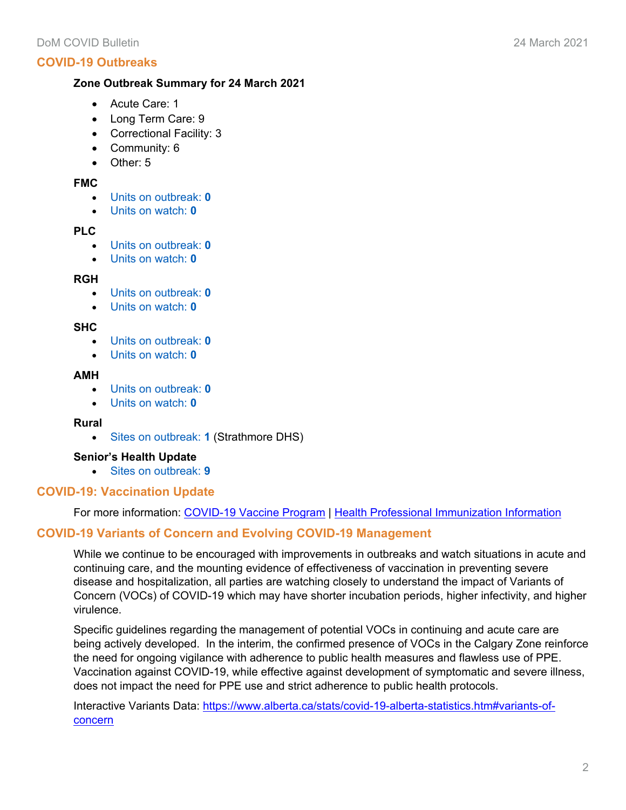## **COVID-19 Outbreaks**

## **Zone Outbreak Summary for 24 March 2021**

- Acute Care: 1
- Long Term Care: 9
- Correctional Facility: 3
- Community: 6
- Other: 5

## **FMC**

- Units on outbreak: **0**
- Units on watch: **0**

#### **PLC**

- Units on outbreak: **0**
- Units on watch: **0**

## **RGH**

- Units on outbreak: **0**
- Units on watch: **0**

#### **SHC**

- Units on outbreak: **0**
- Units on watch: **0**

#### **AMH**

- Units on outbreak: **0**
- Units on watch: **0**

#### **Rural**

• Sites on outbreak: **1** (Strathmore DHS)

## **Senior's Health Update**

• Sites on outbreak: **9**

## **COVID-19: Vaccination Update**

For more information: [COVID-19 Vaccine Program](https://www.alberta.ca/covid19-vaccine.aspx?utm_source=bing&utm_medium=cpc&utm_campaign=Vaccines%20Campaign%20-%20Search&utm_term=alberta%20vaccine&utm_content=General) | [Health Professional Immunization Information](https://insite.albertahealthservices.ca/tools/Page25471.aspx)

## **COVID-19 Variants of Concern and Evolving COVID-19 Management**

While we continue to be encouraged with improvements in outbreaks and watch situations in acute and continuing care, and the mounting evidence of effectiveness of vaccination in preventing severe disease and hospitalization, all parties are watching closely to understand the impact of Variants of Concern (VOCs) of COVID-19 which may have shorter incubation periods, higher infectivity, and higher virulence.

Specific guidelines regarding the management of potential VOCs in continuing and acute care are being actively developed. In the interim, the confirmed presence of VOCs in the Calgary Zone reinforce the need for ongoing vigilance with adherence to public health measures and flawless use of PPE. Vaccination against COVID-19, while effective against development of symptomatic and severe illness, does not impact the need for PPE use and strict adherence to public health protocols.

Interactive Variants Data: [https://www.alberta.ca/stats/covid-19-alberta-statistics.htm#variants-of](https://www.alberta.ca/stats/covid-19-alberta-statistics.htm#variants-of-concern)[concern](https://www.alberta.ca/stats/covid-19-alberta-statistics.htm#variants-of-concern)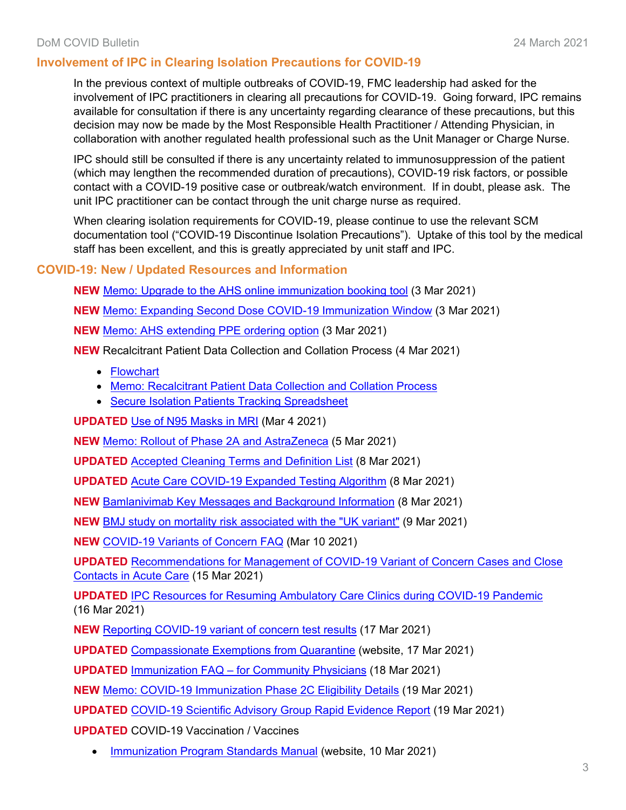## **Involvement of IPC in Clearing Isolation Precautions for COVID-19**

In the previous context of multiple outbreaks of COVID-19, FMC leadership had asked for the involvement of IPC practitioners in clearing all precautions for COVID-19. Going forward, IPC remains available for consultation if there is any uncertainty regarding clearance of these precautions, but this decision may now be made by the Most Responsible Health Practitioner / Attending Physician, in collaboration with another regulated health professional such as the Unit Manager or Charge Nurse.

IPC should still be consulted if there is any uncertainty related to immunosuppression of the patient (which may lengthen the recommended duration of precautions), COVID-19 risk factors, or possible contact with a COVID-19 positive case or outbreak/watch environment. If in doubt, please ask. The unit IPC practitioner can be contact through the unit charge nurse as required.

When clearing isolation requirements for COVID-19, please continue to use the relevant SCM documentation tool ("COVID-19 Discontinue Isolation Precautions"). Uptake of this tool by the medical staff has been excellent, and this is greatly appreciated by unit staff and IPC.

## **COVID-19: New / Updated Resources and Information**

**NEW** Memo: [Upgrade to the AHS online immunization booking tool](https://www.departmentofmedicine.com/meoc/ahs-online-immunization-booking-tool-upgrade.pdf) (3 Mar 2021)

**NEW** [Memo: Expanding Second Dose COVID-19 Immunization Window](https://www.departmentofmedicine.com/meoc/covid-expanding-second-dose-immunization-window.pdf) (3 Mar 2021)

**NEW** [Memo: AHS extending PPE ordering option](https://www.albertahealthservices.ca/assets/info/ppih/if-ppih-covid-19-memo-ppe-deadline-extension.pdf) (3 Mar 2021)

**NEW** Recalcitrant Patient Data Collection and Collation Process (4 Mar 2021)

- [Flowchart](https://www.departmentofmedicine.com/meoc/recalcitrant-data-reporting-process.pdf)
- [Memo: Recalcitrant Patient Data Collection and Collation Process](https://www.departmentofmedicine.com/meoc/covid-data-tracking-recalcitrant-patients.pdf)
- [Secure Isolation Patients Tracking Spreadsheet](https://www.departmentofmedicine.com/meoc/secure-isolation-patients-tracking-spreadsheet.xlsx)

**UPDATED** [Use of N95 Masks in MRI](https://www.departmentofmedicine.com/meoc/covid-n95-recommendations-mri.pdf) (Mar 4 2021)

**NEW** [Memo: Rollout of Phase 2A and AstraZeneca](https://www.departmentofmedicine.com/meoc/phase-2a-astrazeneca.pdf) (5 Mar 2021)

**UPDATED** [Accepted Cleaning Terms and Definition List](https://www.albertahealthservices.ca/assets/healthinfo/ipc/hi-ipc-cleaning-accepted-terms-and-definitions.pdf) (8 Mar 2021)

**UPDATED** [Acute Care COVID-19 Expanded Testing Algorithm](https://www.albertahealthservices.ca/assets/info/ppih/if-ppih-covid-19-expanded-testing.pdf) (8 Mar 2021)

**NEW** [Bamlanivimab Key Messages and Background Information](https://www.departmentofmedicine.com/meoc/bamlanivimab-key-messages-background-information.pdf) (8 Mar 2021)

**NEW** [BMJ study on mortality risk associated with the "UK variant"](https://www.departmentofmedicine.com/meoc/covid-mortality-patients-infected-uk-variant.pdf) (9 Mar 2021)

**NEW** [COVID-19 Variants of Concern FAQ](https://www.departmentofmedicine.com/meoc/covid-variants-of-concern-faq.pdf) (Mar 10 2021)

**UPDATED** [Recommendations for Management of COVID-19 Variant of Concern Cases and Close](https://www.departmentofmedicine.com/meoc/covid-recommendations-voc-cases-close-contacts-acute-care.pdf)  [Contacts in Acute Care](https://www.departmentofmedicine.com/meoc/covid-recommendations-voc-cases-close-contacts-acute-care.pdf) (15 Mar 2021)

**UPDATED** [IPC Resources for Resuming Ambulatory Care Clinics](https://www.albertahealthservices.ca/assets/healthinfo/ipc/hi-ipc-resuming-ambul-care-clncs-z0.pdf) during COVID-19 Pandemic (16 Mar 2021)

**NEW** [Reporting COVID-19 variant of concern test results](https://www.departmentofmedicine.com/meoc/covid-apl-bulletin-reporting-voc-test-results.pdf) (17 Mar 2021)

**UPDATED** [Compassionate Exemptions from Quarantine](https://www.albertahealthservices.ca/topics/Page17252.aspx) (website, 17 Mar 2021)

**UPDATED** Immunization FAQ – [for Community Physicians](https://albertahealthservices.ca/assets/info/ppih/if-ppih-covid-19-primary-care-faq.pdf) (18 Mar 2021)

**NEW** [Memo: COVID-19 Immunization Phase 2C Eligibility Details](https://www.departmentofmedicine.com/meoc/vaccine-phase-2c-eligibility-details.pdf) (19 Mar 2021)

**UPDATED** [COVID-19 Scientific Advisory Group Rapid Evidence Report](https://www.albertahealthservices.ca/assets/info/ppih/if-ppih-covid-19-sag-double-masking-improved-fit-rapid-review.pdf) (19 Mar 2021)

**UPDATED** COVID-19 Vaccination / Vaccines

• [Immunization Program Standards Manual](https://insite.albertahealthservices.ca/cdc/Page11322.aspx) (website, 10 Mar 2021)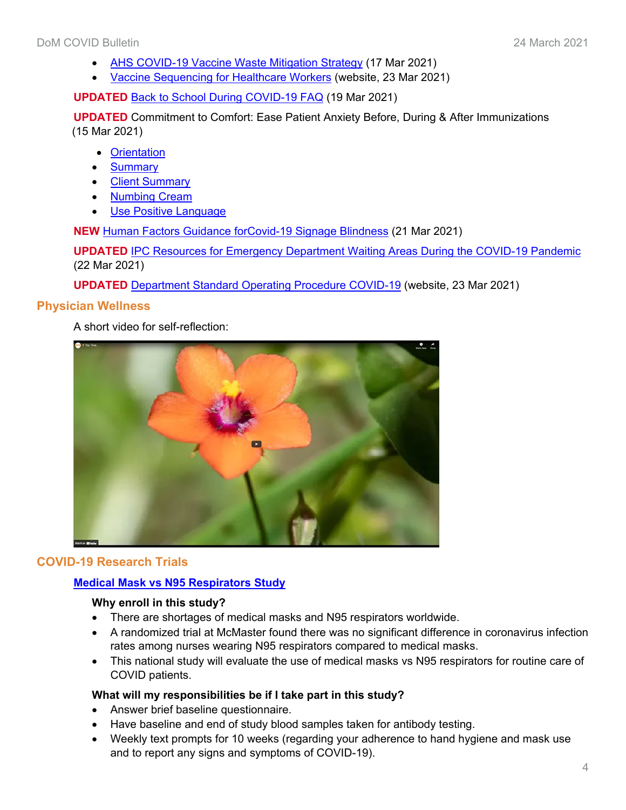- [AHS COVID-19 Vaccine Waste Mitigation Strategy](https://www.albertahealthservices.ca/assets/info/ppih/if-ppih-covid-19-vaccine-waste-mitigation-strategy.pdf) (17 Mar 2021)
- [Vaccine Sequencing for Healthcare Workers](https://www.albertahealthservices.ca/topics/page17366.aspx) (website, 23 Mar 2021)

**UPDATED** [Back to School During COVID-19 FAQ](https://www.albertahealthservices.ca/assets/info/ppih/if-ppih-covid-19-sch-back-school-covid-19-faq.pdf) (19 Mar 2021)

**UPDATED** Commitment to Comfort: Ease Patient Anxiety Before, During & After Immunizations (15 Mar 2021)

- [Orientation](https://www.albertahealthservices.ca/assets/info/ppih/if-ppih-covid-19-commitment-comfort-vaccine-orientation.pdf)
- [Summary](https://www.albertahealthservices.ca/assets/info/ppih/if-ppih-covid-19-commitment-comfort-vaccine-summary.pdf)
- [Client Summary](https://www.albertahealthservices.ca/assets/info/ppih/if-ppih-covid-19-commitment-comfort-vaccine-client-summary.pdf)
- [Numbing Cream](https://www.albertahealthservices.ca/assets/info/ppih/if-ppih-covid-19-commitment-comfort-vaccine-numming-cream.pdf)
- [Use Positive Language](https://www.albertahealthservices.ca/assets/info/ppih/if-ppih-covid-19-commitment-comfort-vaccine-positive-language-immunizers.pdf)

**NEW** [Human Factors Guidance forCovid-19 Signage Blindness](https://insite.albertahealthservices.ca/main/assets/tls/ep/tls-ep-covid-19-signage-blindness.pdf) (21 Mar 2021)

**UPDATED** [IPC Resources for Emergency Department Waiting Areas During the COVID-19 Pandemic](https://www.albertahealthservices.ca/assets/healthinfo/ipc/hi-ipc-covid-res-emerg-waiting-areas-infsht.pdf) (22 Mar 2021)

**UPDATED** [Department Standard Operating Procedure COVID-19](https://insite.albertahealthservices.ca/cdc/Page25403.aspx) (website, 23 Mar 2021)

## **Physician Wellness**

A short video for self-reflection:



## **COVID-19 Research Trials**

## **Medical Mask vs [N95 Respirators](http://www.departmentofmedicine.com/meoc/medical_mask_vs_n95_mask_study_healthcare_worker_info_sheet_sept_30_2020.pdf) Study**

#### **Why enroll in this study?**

- There are shortages of medical masks and N95 respirators worldwide.
- A randomized trial at McMaster found there was no significant difference in coronavirus infection rates among nurses wearing N95 respirators compared to medical masks.
- This national study will evaluate the use of medical masks vs N95 respirators for routine care of COVID patients.

## **What will my responsibilities be if I take part in this study?**

- Answer brief baseline questionnaire.
- Have baseline and end of study blood samples taken for antibody testing.
- Weekly text prompts for 10 weeks (regarding your adherence to hand hygiene and mask use and to report any signs and symptoms of COVID-19).